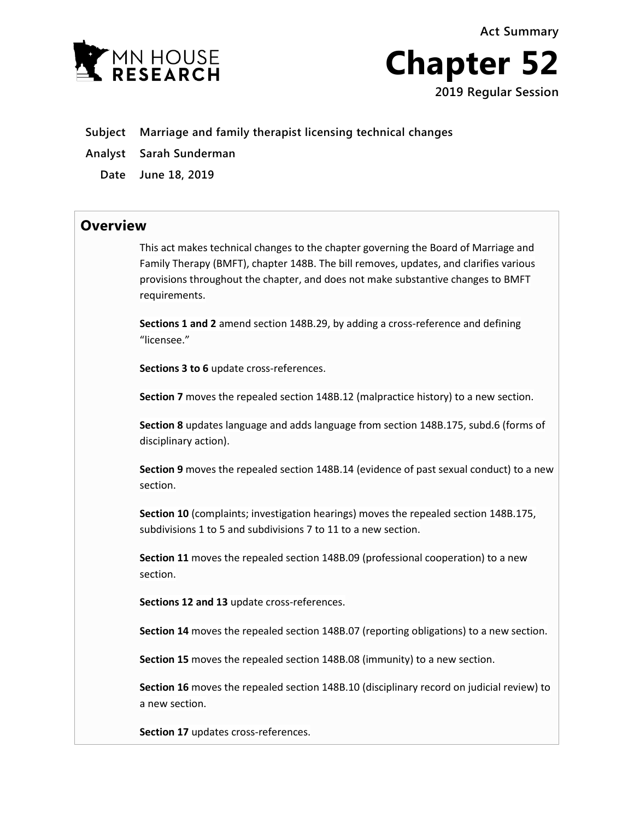**Act Summary**





- **Subject Marriage and family therapist licensing technical changes**
- **Analyst Sarah Sunderman**
	- **Date June 18, 2019**

## **Overview**

This act makes technical changes to the chapter governing the Board of Marriage and Family Therapy (BMFT), chapter 148B. The bill removes, updates, and clarifies various provisions throughout the chapter, and does not make substantive changes to BMFT requirements.

**Sections 1 and 2** amend section 148B.29, by adding a cross-reference and defining "licensee."

**Sections 3 to 6** update cross-references.

**Section 7** moves the repealed section 148B.12 (malpractice history) to a new section.

**Section 8** updates language and adds language from section 148B.175, subd.6 (forms of disciplinary action).

**Section 9** moves the repealed section 148B.14 (evidence of past sexual conduct) to a new section.

**Section 10** (complaints; investigation hearings) moves the repealed section 148B.175, subdivisions 1 to 5 and subdivisions 7 to 11 to a new section.

**Section 11** moves the repealed section 148B.09 (professional cooperation) to a new section.

**Sections 12 and 13** update cross-references.

**Section 14** moves the repealed section 148B.07 (reporting obligations) to a new section.

**Section 15** moves the repealed section 148B.08 (immunity) to a new section.

**Section 16** moves the repealed section 148B.10 (disciplinary record on judicial review) to a new section.

**Section 17** updates cross-references.